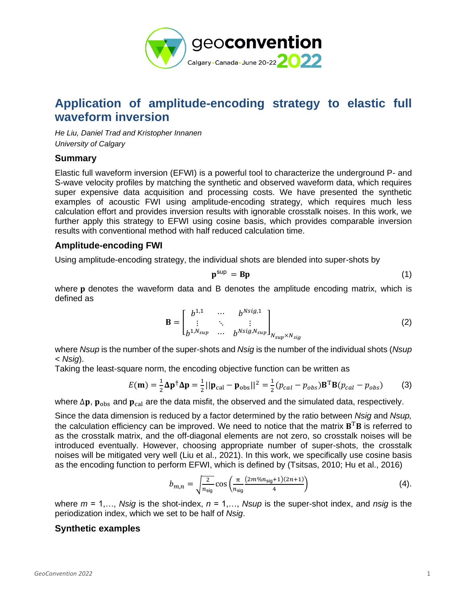

# **Application of amplitude-encoding strategy to elastic full waveform inversion**

*He Liu, Daniel Trad and Kristopher Innanen University of Calgary*

#### **Summary**

Elastic full waveform inversion (EFWI) is a powerful tool to characterize the underground P- and S-wave velocity profiles by matching the synthetic and observed waveform data, which requires super expensive data acquisition and processing costs. We have presented the synthetic examples of acoustic FWI using amplitude-encoding strategy, which requires much less calculation effort and provides inversion results with ignorable crosstalk noises. In this work, we further apply this strategy to EFWI using cosine basis, which provides comparable inversion results with conventional method with half reduced calculation time.

## **Amplitude-encoding FWI**

Using amplitude-encoding strategy, the individual shots are blended into super-shots by

$$
\mathbf{p}^{\text{sup}} = \mathbf{B}\mathbf{p} \tag{1}
$$

where p denotes the waveform data and B denotes the amplitude encoding matrix, which is defined as

$$
\mathbf{B} = \begin{bmatrix} b^{1,1} & \cdots & b^{Nsig,1} \\ \vdots & \ddots & \vdots \\ b^{1,N_{sup}} & \cdots & b^{Nsig,N_{sup}} \end{bmatrix}_{N_{sup} \times N_{sig}} \tag{2}
$$

where *Nsup* is the number of the super-shots and *Nsig* is the number of the individual shots (*Nsup < Nsig*).

Taking the least-square norm, the encoding objective function can be written as

$$
E(\mathbf{m}) = \frac{1}{2}\Delta \mathbf{p}^{\dagger} \Delta \mathbf{p} = \frac{1}{2}||\mathbf{p}_{\text{cal}} - \mathbf{p}_{\text{obs}}||^2 = \frac{1}{2}(p_{cal} - p_{obs})\mathbf{B}^{\text{T}}\mathbf{B}(p_{cal} - p_{obs})
$$
(3)

where  $\Delta p$ ,  $p_{obs}$  and  $p_{cal}$  are the data misfit, the observed and the simulated data, respectively.

Since the data dimension is reduced by a factor determined by the ratio between *Nsig* and *Nsup,*  the calculation efficiency can be improved. We need to notice that the matrix  $B^T B$  is referred to as the crosstalk matrix, and the off-diagonal elements are not zero, so crosstalk noises will be introduced eventually. However, choosing appropriate number of super-shots, the crosstalk noises will be mitigated very well (Liu et al., 2021). In this work, we specifically use cosine basis as the encoding function to perform EFWI, which is defined by (Tsitsas, 2010; Hu et al., 2016)

$$
b_{m,n} = \sqrt{\frac{2}{n_{\text{sig}}}} \cos \left( \frac{\pi}{n_{\text{sig}}} \frac{(2m\%n_{\text{sig}} + 1)(2n + 1)}{4} \right) \tag{4}.
$$

where *m* = 1,…, *Nsig* is the shot-index, *n* = 1,…, *Nsup* is the super-shot index, and *nsig* is the periodization index, which we set to be half of *Nsig*.

#### **Synthetic examples**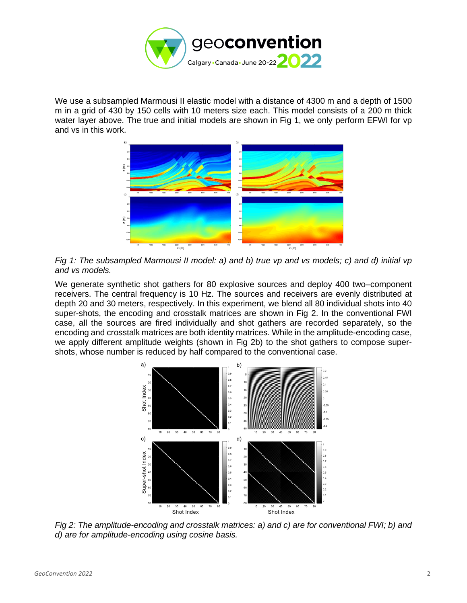

We use a subsampled Marmousi II elastic model with a distance of 4300 m and a depth of 1500 m in a grid of 430 by 150 cells with 10 meters size each. This model consists of a 200 m thick water layer above. The true and initial models are shown in Fig 1, we only perform EFWI for vp and vs in this work.



*Fig 1: The subsampled Marmousi II model: a) and b) true vp and vs models; c) and d) initial vp and vs models.*

We generate synthetic shot gathers for 80 explosive sources and deploy 400 two–component receivers. The central frequency is 10 Hz. The sources and receivers are evenly distributed at depth 20 and 30 meters, respectively. In this experiment, we blend all 80 individual shots into 40 super-shots, the encoding and crosstalk matrices are shown in Fig 2. In the conventional FWI case, all the sources are fired individually and shot gathers are recorded separately, so the encoding and crosstalk matrices are both identity matrices. While in the amplitude-encoding case, we apply different amplitude weights (shown in Fig 2b) to the shot gathers to compose supershots, whose number is reduced by half compared to the conventional case.



*Fig 2: The amplitude-encoding and crosstalk matrices: a) and c) are for conventional FWI; b) and d) are for amplitude-encoding using cosine basis.*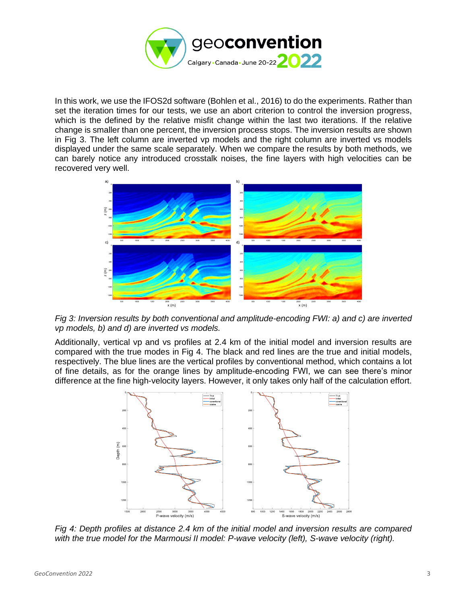

In this work, we use the IFOS2d software (Bohlen et al., 2016) to do the experiments. Rather than set the iteration times for our tests, we use an abort criterion to control the inversion progress, which is the defined by the relative misfit change within the last two iterations. If the relative change is smaller than one percent, the inversion process stops. The inversion results are shown in Fig 3. The left column are inverted vp models and the right column are inverted vs models displayed under the same scale separately. When we compare the results by both methods, we can barely notice any introduced crosstalk noises, the fine layers with high velocities can be recovered very well.



*Fig 3: Inversion results by both conventional and amplitude-encoding FWI: a) and c) are inverted vp models, b) and d) are inverted vs models.*

Additionally, vertical vp and vs profiles at 2.4 km of the initial model and inversion results are compared with the true modes in Fig 4. The black and red lines are the true and initial models, respectively. The blue lines are the vertical profiles by conventional method, which contains a lot of fine details, as for the orange lines by amplitude-encoding FWI, we can see there's minor difference at the fine high-velocity layers. However, it only takes only half of the calculation effort.



*Fig 4: Depth profiles at distance 2.4 km of the initial model and inversion results are compared with the true model for the Marmousi II model: P-wave velocity (left), S-wave velocity (right).*